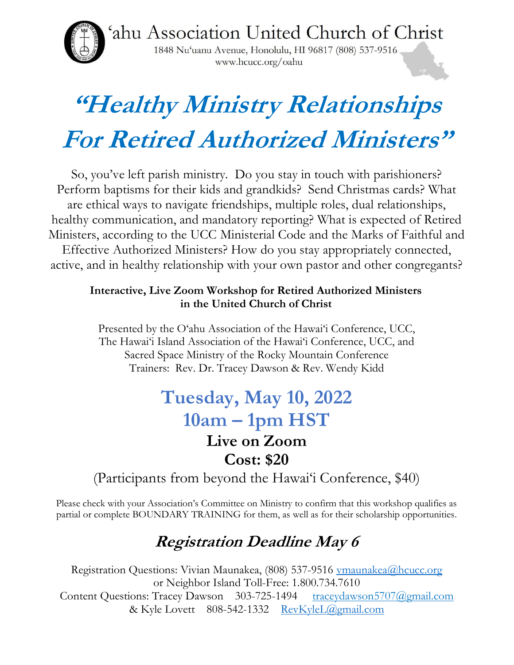'ahu Association United Church of Christ

1848 Nu'uanu Avenue, Honolulu, HI 96817 (808) 537-9516 www.hcucc.org/oahu

# "Healthy Ministry Relationships For Retired Authorized Ministers"

So, you've left parish ministry. Do you stay in touch with parishioners? Perform baptisms for their kids and grandkids? Send Christmas cards? What are ethical ways to navigate friendships, multiple roles, dual relationships, healthy communication, and mandatory reporting? What is expected of Retired Ministers, according to the UCC Ministerial Code and the Marks of Faithful and Effective Authorized Ministers? How do you stay appropriately connected, active, and in healthy relationship with your own pastor and other congregants?

#### Interactive, Live Zoom Workshop for Retired Authorized Ministers in the United Church of Christ

Presented by the O'ahu Association of the Hawai'i Conference, UCC, The Hawai'i Island Association of the Hawai'i Conference, UCC, and Sacred Space Ministry of the Rocky Mountain Conference Trainers: Rev. Dr. Tracey Dawson & Rev. Wendy Kidd

#### Tuesday, May 10, 2022 10am – 1pm HST Live on Zoom Cost: \$20

(Participants from beyond the Hawai'i Conference, \$40)

Please check with your Association's Committee on Ministry to confirm that this workshop qualifies as partial or complete BOUNDARY TRAINING for them, as well as for their scholarship opportunities.

#### Registration Deadline May 6

Registration Questions: Vivian Maunakea, (808) 537-9516 vmaunakea@hcucc.org or Neighbor Island Toll-Free: 1.800.734.7610 Content Questions: Tracey Dawson 303-725-1494 traceydawson5707@gmail.com & Kyle Lovett 808-542-1332 RevKyleL@gmail.com